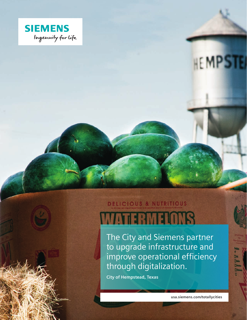

# **HEMPSTE**

## **DELICIOUS & NUTRITIOUS** WATERMENTS

The City and Siemens partner to upgrade infrastructure and improve operational efficiency through digitalization.

**City of Hempstead, Texas**

**usa.siemens.com/totallycities**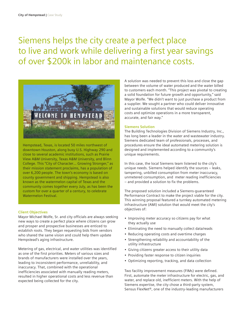### Siemens helps the city create a perfect place to live and work while delivering a first year savings of over \$200k in labor and maintenance costs.



Hempstead, Texas, is located 50 miles northwest of downtown Houston, along busy U.S. Highway 290 and close to several academic institutions, such as Prairie View A&M University, Texas A&M University, and Blinn College. This "City of Character… Growing Stronger," as their mission statement proclaims, has a population of over 6,200 people. The town's economy is based on county government and shipping. Hempstead is also known as the watermelon capital of Texas and the community comes together every July, as has been the custom for over a quarter of a century, to celebrate Watermelon Festival.

#### **Client Objectives**

Mayor Michael Wolfe, Sr. and city officials are always seeking new ways to create a perfect place where citizens can grow and prosper and prospective businesses are enticed to establish roots. They began requesting bids from vendors who shared the same vision and could help them update Hempstead's aging infrastructure.

Metering of gas, electrical, and water utilities was identified as one of the first priorities. Meters of various sizes and brands of manufacturers were installed over the years, leading to inconsistent performance, unreliability, and inaccuracy. That, combined with the operational inefficiencies associated with manually reading meters, resulted in higher operational costs and less revenue than expected being collected for the city.

A solution was needed to prevent this loss and close the gap between the volume of water produced and the water billed to customers each month. "This project was pivotal to creating a solid foundation for future growth and opportunity," said Mayor Wolfe. "We didn't want to just purchase a product from a supplier. We sought a partner who could deliver innovative and sustainable solutions that would reduce operating costs and optimize operations in a more transparent, accurate, and fair way."

#### **Siemens Solution**

The Building Technologies Division of Siemens Industry, Inc., has long been a leader in the water and wastewater industry. Siemens dedicated team of professionals, processes, and procedures ensure the ideal automated metering solution is designed and implemented according to a community's unique requirements.

In this case, the local Siemens team listened to the city's unique needs. Siemens helped identify the sources – leaks, tampering, unbilled consumption from meter inaccuracy, unmetered consumption, and meter reading inefficiencies – and provided a solution to fix the problems.

The proposed solution included a Siemens-guaranteed Performance Contract to make the project viable for the city. This winning proposal featured a turnkey automated metering infrastructure (AMI) solution that would meet the city's objectives of:

- Improving meter accuracy so citizens pay for what they actually use
- Eliminating the need to manually collect data/reads
- Reducing operating costs and overtime charges
- Strengthening reliability and accountability of the utility infrastructure
- Giving citizens greater access to their utility data
- Providing faster response to citizen inquiries
- Optimizing reporting, tracking, and data collection

Two facility improvement measures (FIMs) were defined. First, automate the meter infrastructure for electric, gas, and water, and replace old, inefficient meters. With the help of Siemens expertise, the city chose a third-party system, Sensus FlexNet®, one of the industry-leading manufacturers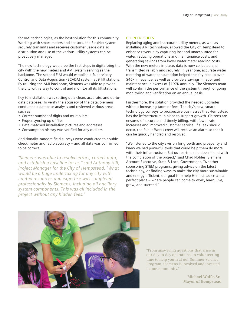for AMI technologies, as the best solution for this community. Working with smart meters and sensors, the FlexNet system securely transmits and receives customer usage data so distribution and use of the various utility systems can be proactively managed.

The new technology would be the first steps in digitalizing the city with the new meters and AMI system serving as the backbone. The second FIM would establish a Supervisory Control and Data Acquisition (SCADA) system at 9 lift stations. By utilizing the AMI backbone, Siemens was able to provide the city with a way to control and monitor all its lift stations.

Key to installation was setting up a clean, accurate, and up-todate database. To verify the accuracy of the data, Siemens conducted a database analysis and reviewed various areas, such as:

- Correct number of digits and multipliers
- Proper syncing up of files
- Data-matched installation pictures and addresses
- Consumption history was verified for any outliers

Additionally, random field surveys were conducted to doublecheck meter and radio accuracy – and all data was confirmed to be correct.

*"Siemens was able to resolve errors, correct data, and establish a baseline for us," said Anthony Hill, Project Manager for the City of Hempstead. "What would be a huge undertaking for any city with limited resources and expertise was completed professionally by Siemens, including all ancillary system components. This was all included in the project without any hidden fees."* 

#### **CLIENT RESULTS**

Replacing aging and inaccurate utility meters, as well as installing AMI technology, allowed the City of Hempstead to enhance revenue by capturing lost and unaccounted for water, reducing operations and maintenance costs, and generating savings from lower water meter reading costs. With the new meters in place, data is now collected and transmitted reliably and securely. In year one, accurate water metering of water consumption helped the city recoup over \$46k in revenue, as well as provide a savings in labor and maintenance in excess of \$197K annually. The Siemens team will confirm the performance of the system through ongoing monitoring and verification on an annual basis.

Furthermore, the solution provided the needed upgrades without increasing taxes or fees. The city's new, smart technology conveys to prospective businesses that Hempstead has the infrastructure in place to support growth. Citizens are ensured of accurate and timely billing, with fewer rate increases and improved customer service. If a leak should occur, the Public Works crew will receive an alarm so that it can be quickly handled and resolved.

"We listened to the city's vision for growth and prosperity and knew we had powerful tools that could help them do more with their infrastructure. But our partnership doesn't end with the completion of the project," said Chad Nobles, Siemens Account Executive, State & Local Government. "Whether sponsoring STEM programs, giving advice on the latest technology, or finding ways to make the city more sustainable and energy efficient, our goal is to help Hempstead create a perfect place – where people can come to work, learn, live, grow, and succeed."



"From answering questions that arise in our day-to-day operations, to volunteering time to help youth at our Summer Science Program, Siemens is involved and invested in our community."

> **Michael Wolfe, Sr., Mayor of Hempstead**